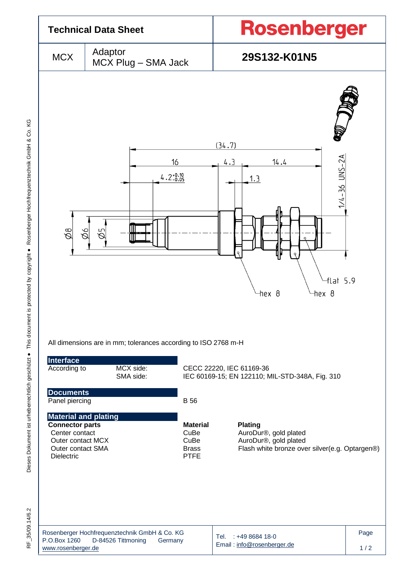

RF 35/09.14/6.2